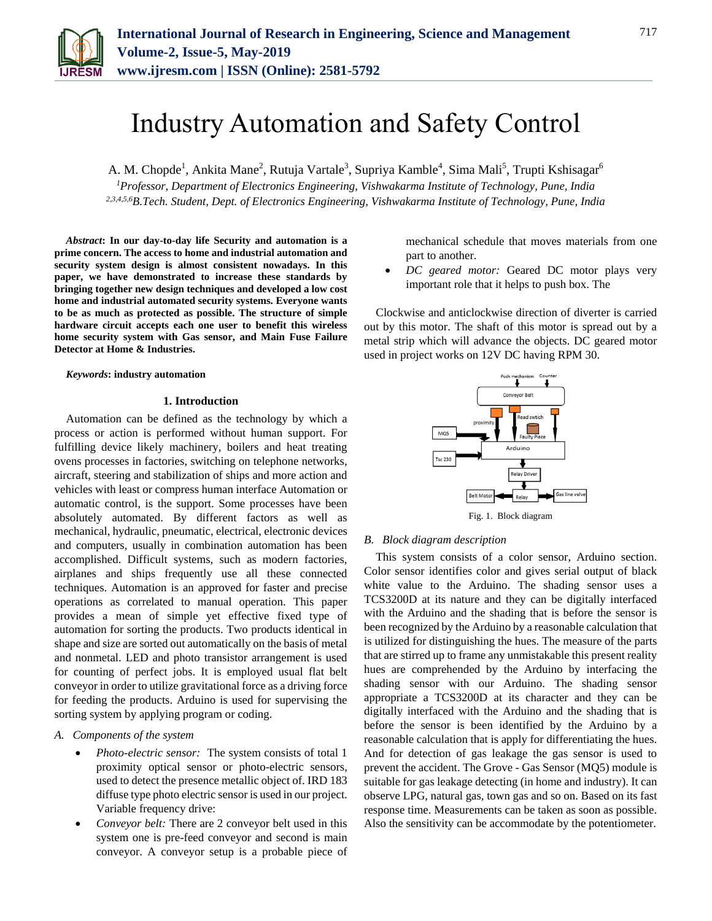

# Industry Automation and Safety Control

A. M. Chopde<sup>1</sup>, Ankita Mane<sup>2</sup>, Rutuja Vartale<sup>3</sup>, Supriya Kamble<sup>4</sup>, Sima Mali<sup>5</sup>, Trupti Kshisagar<sup>6</sup> *<sup>1</sup>Professor, Department of Electronics Engineering, Vishwakarma Institute of Technology, Pune, India*

*2,3,4,5,6B.Tech. Student, Dept. of Electronics Engineering, Vishwakarma Institute of Technology, Pune, India*

*Abstract***: In our day-to-day life Security and automation is a prime concern. The access to home and industrial automation and security system design is almost consistent nowadays. In this paper, we have demonstrated to increase these standards by bringing together new design techniques and developed a low cost home and industrial automated security systems. Everyone wants to be as much as protected as possible. The structure of simple hardware circuit accepts each one user to benefit this wireless home security system with Gas sensor, and Main Fuse Failure Detector at Home & Industries.** 

*Keywords***: industry automation**

## **1. Introduction**

Automation can be defined as the technology by which a process or action is performed without human support. For fulfilling device likely machinery, boilers and heat treating ovens processes in factories, switching on telephone networks, aircraft, steering and stabilization of ships and more action and vehicles with least or compress human interface Automation or automatic control, is the support. Some processes have been absolutely automated. By different factors as well as mechanical, hydraulic, pneumatic, electrical, electronic devices and computers, usually in combination automation has been accomplished. Difficult systems, such as modern factories, airplanes and ships frequently use all these connected techniques. Automation is an approved for faster and precise operations as correlated to manual operation. This paper provides a mean of simple yet effective fixed type of automation for sorting the products. Two products identical in shape and size are sorted out automatically on the basis of metal and nonmetal. LED and photo transistor arrangement is used for counting of perfect jobs. It is employed usual flat belt conveyor in order to utilize gravitational force as a driving force for feeding the products. Arduino is used for supervising the sorting system by applying program or coding.

## *A. Components of the system*

- *Photo-electric sensor:* The system consists of total 1 proximity optical sensor or photo-electric sensors, used to detect the presence metallic object of. IRD 183 diffuse type photo electric sensor is used in our project. Variable frequency drive:
- *Conveyor belt:* There are 2 conveyor belt used in this system one is pre-feed conveyor and second is main conveyor. A conveyor setup is a probable piece of

mechanical schedule that moves materials from one part to another.

 *DC geared motor:* Geared DC motor plays very important role that it helps to push box. The

Clockwise and anticlockwise direction of diverter is carried out by this motor. The shaft of this motor is spread out by a metal strip which will advance the objects. DC geared motor used in project works on 12V DC having RPM 30.



Fig. 1. Block diagram

## *B. Block diagram description*

This system consists of a color sensor, Arduino section. Color sensor identifies color and gives serial output of black white value to the Arduino. The shading sensor uses a TCS3200D at its nature and they can be digitally interfaced with the Arduino and the shading that is before the sensor is been recognized by the Arduino by a reasonable calculation that is utilized for distinguishing the hues. The measure of the parts that are stirred up to frame any unmistakable this present reality hues are comprehended by the Arduino by interfacing the shading sensor with our Arduino. The shading sensor appropriate a TCS3200D at its character and they can be digitally interfaced with the Arduino and the shading that is before the sensor is been identified by the Arduino by a reasonable calculation that is apply for differentiating the hues. And for detection of gas leakage the gas sensor is used to prevent the accident. The Grove - Gas Sensor (MQ5) module is suitable for gas leakage detecting (in home and industry). It can observe LPG, natural gas, town gas and so on. Based on its fast response time. Measurements can be taken as soon as possible. Also the sensitivity can be accommodate by the potentiometer.